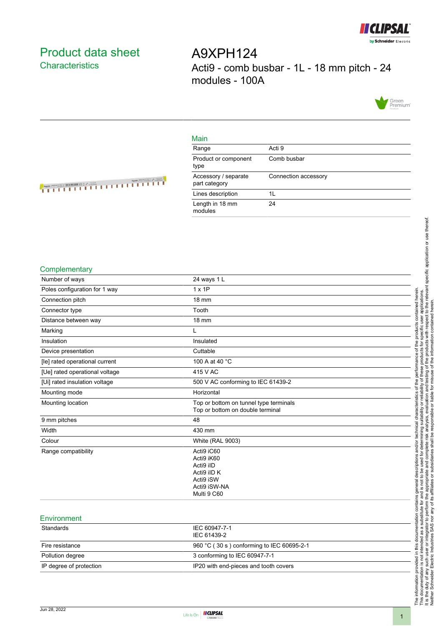

## <span id="page-0-0"></span>Product data sheet **Characteristics**

A9XPH124 Acti9 - comb busbar - 1L - 18 mm pitch - 24 modules - 100A



#### Main

| 1716.11 1                             |                      |
|---------------------------------------|----------------------|
| Range                                 | Acti 9               |
| Product or component<br>type          | Comb busbar          |
| Accessory / separate<br>part category | Connection accessory |
| Lines description                     | 1L                   |
| Length in 18 mm<br>modules            | 24                   |

# <u> A TELEVISION NEWSFILM</u>

#### **Complementary**

| Number of ways                 | 24 ways 1 L                                                                                      |
|--------------------------------|--------------------------------------------------------------------------------------------------|
| Poles configuration for 1 way  | $1 \times 1P$                                                                                    |
| Connection pitch               | <b>18 mm</b>                                                                                     |
| Connector type                 | Tooth                                                                                            |
| Distance between way           | <b>18 mm</b>                                                                                     |
| Marking                        | L                                                                                                |
| Insulation                     | Insulated                                                                                        |
| Device presentation            | Cuttable                                                                                         |
| [le] rated operational current | 100 A at 40 °C                                                                                   |
| [Ue] rated operational voltage | 415 V AC                                                                                         |
| [Ui] rated insulation voltage  | 500 V AC conforming to IEC 61439-2                                                               |
| Mounting mode                  | Horizontal                                                                                       |
| Mounting location              | Top or bottom on tunnel type terminals<br>Top or bottom on double terminal                       |
| 9 mm pitches                   | 48                                                                                               |
| Width                          | 430 mm                                                                                           |
| Colour                         | <b>White (RAL 9003)</b>                                                                          |
| Range compatibility            | Acti9 iC60<br>Acti9 iK60<br>Acti9 iID<br>Acti9 iID K<br>Acti9 iSW<br>Acti9 iSW-NA<br>Multi 9 C60 |
| Environment                    |                                                                                                  |
| Standards                      | IEC 60947-7-1<br>IEC 61439-2                                                                     |
| Fire resistance                | 960 °C (30 s) conforming to IEC 60695-2-1                                                        |
| Pollution degree               | 3 conforming to IEC 60947-7-1                                                                    |



IP degree of protection IP20 with end-pieces and tooth covers